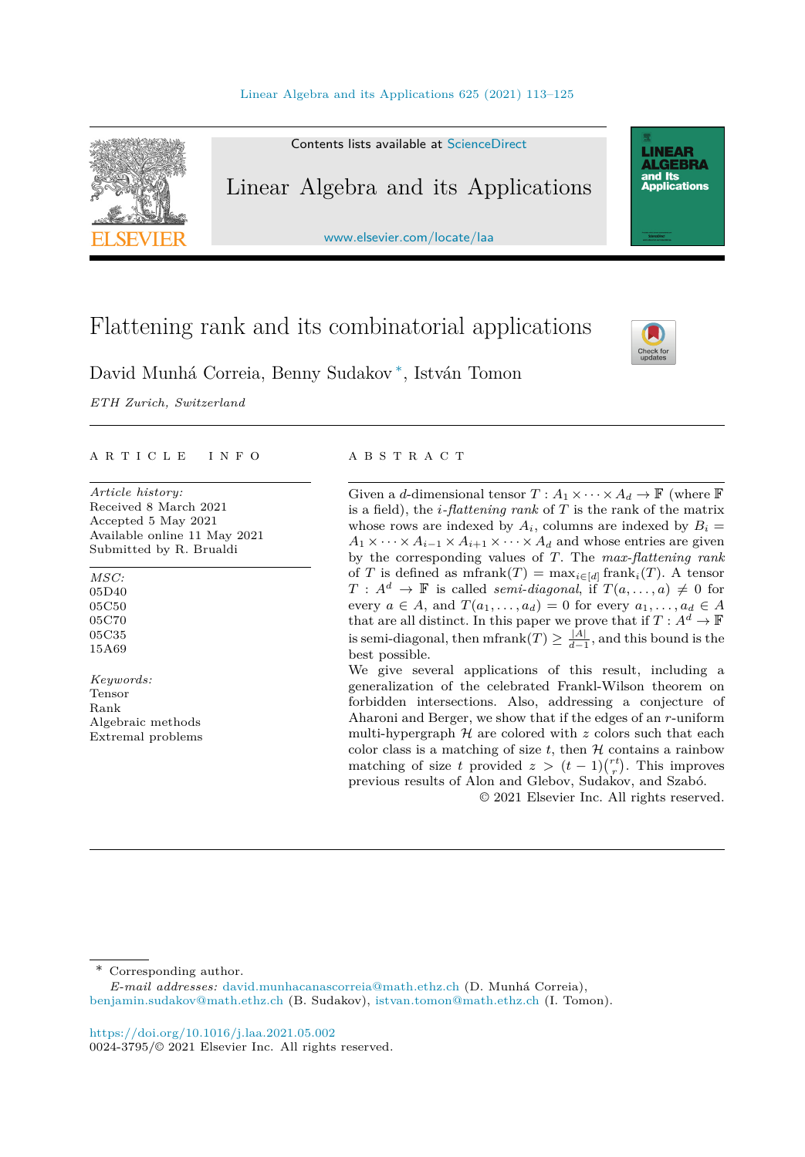

Contents lists available at [ScienceDirect](http://www.ScienceDirect.com/)

# Linear Algebra and its Applications

[www.elsevier.com/locate/laa](http://www.elsevier.com/locate/laa)

# Flattening rank and its combinatorial applications



**LINEAR<br>ALGEBRA** and Its ana na<br>Applications

David Munhá Correia, Benny Sudakov ∗, István Tomon

*ETH Zurich, Switzerland*

#### A R T I C L E I N F O A B S T R A C T

*Article history:* Received 8 March 2021 Accepted 5 May 2021 Available online 11 May 2021 Submitted by R. Brualdi

*MSC:* 05D40 05C50 05C70 05C35 15A69

*Keywords:* Tensor Rank Algebraic methods Extremal problems

Given a *d*-dimensional tensor  $T: A_1 \times \cdots \times A_d \to \mathbb{F}$  (where  $\mathbb{F}$ is a field), the *i-flattening rank* of *T* is the rank of the matrix whose rows are indexed by  $A_i$ , columns are indexed by  $B_i =$  $A_1 \times \cdots \times A_{i-1} \times A_{i+1} \times \cdots \times A_d$  and whose entries are given by the corresponding values of *T*. The *max-flattening rank* of *T* is defined as  $\text{mfrank}(T) = \max_{i \in [d]} \text{frank}_i(T)$ . A tensor  $T : A^d \to \mathbb{F}$  is called *semi-diagonal*, if  $T(a, \ldots, a) \neq 0$  for every  $a \in A$ , and  $T(a_1, \ldots, a_d) = 0$  for every  $a_1, \ldots, a_d \in A$ that are all distinct. In this paper we prove that if  $T : A^d \to \mathbb{F}$ is semi-diagonal, then  $\text{mfrank}(T) \geq \frac{|A|}{d-1}$ , and this bound is the best possible.

We give several applications of this result, including a generalization of the celebrated Frankl-Wilson theorem on forbidden intersections. Also, addressing a conjecture of Aharoni and Berger, we show that if the edges of an *r*-uniform multi-hypergraph  $H$  are colored with  $z$  colors such that each color class is a matching of size  $t$ , then  $H$  contains a rainbow matching of size *t* provided  $z > (t-1)\binom{rt}{r}$ . This improves previous results of Alon and Glebov, Sudakov, and Szabó.

© 2021 Elsevier Inc. All rights reserved.

\* Corresponding author.

*E-mail addresses:* [david.munhacanascorreia@math.ethz.ch](mailto:david.munhacanascorreia@math.ethz.ch) (D. Munhá Correia), [benjamin.sudakov@math.ethz.ch](mailto:benjamin.sudakov@math.ethz.ch) (B. Sudakov), [istvan.tomon@math.ethz.ch](mailto:istvan.tomon@math.ethz.ch) (I. Tomon).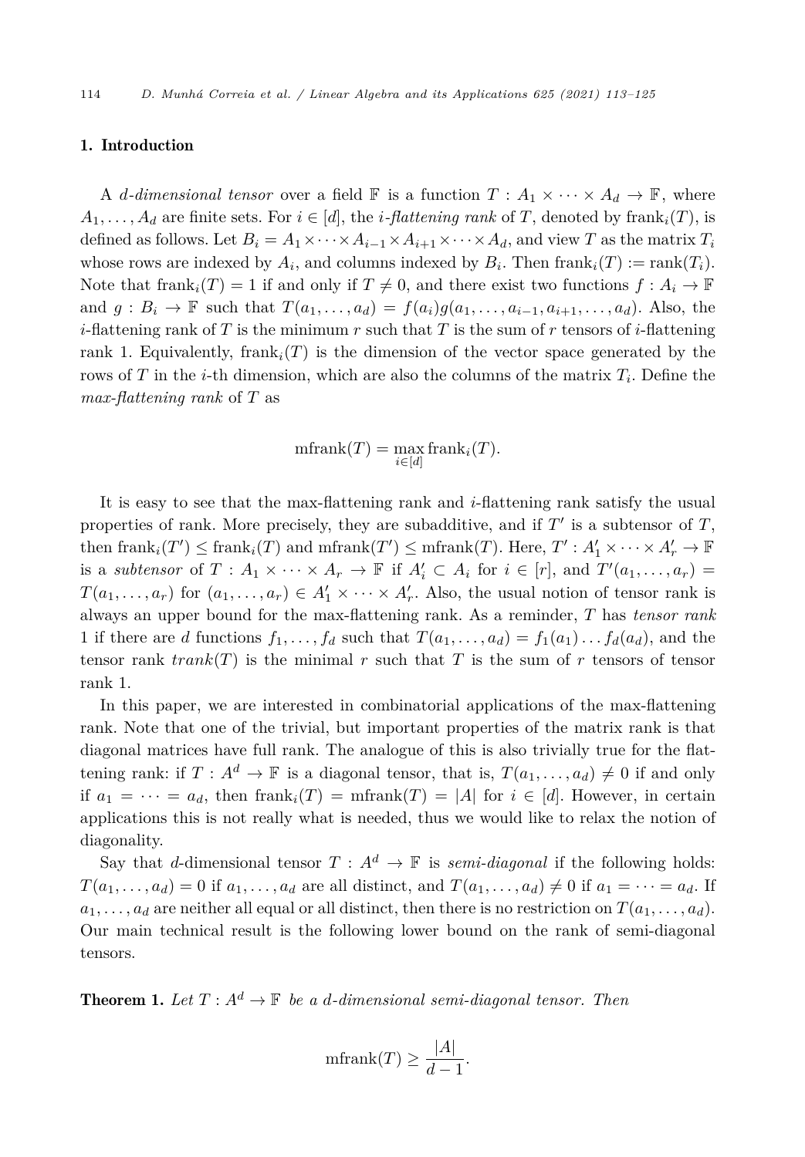#### <span id="page-1-0"></span>1. Introduction

A *d*-dimensional tensor over a field  $\mathbb{F}$  is a function  $T: A_1 \times \cdots \times A_d \to \mathbb{F}$ , where  $A_1, \ldots, A_d$  are finite sets. For  $i \in [d]$ , the *i*-*flattening rank* of *T*, denoted by frank<sub>*i*</sub>(*T*), is defined as follows. Let  $B_i = A_1 \times \cdots \times A_{i-1} \times A_{i+1} \times \cdots \times A_d$ , and view *T* as the matrix  $T_i$ whose rows are indexed by  $A_i$ , and columns indexed by  $B_i$ . Then  $\text{frank}_i(T) := \text{rank}(T_i)$ . Note that frank<sub>i</sub> $(T) = 1$  if and only if  $T \neq 0$ , and there exist two functions  $f : A_i \to \mathbb{F}$ and  $g: B_i \to \mathbb{F}$  such that  $T(a_1, \ldots, a_d) = f(a_i)g(a_1, \ldots, a_{i-1}, a_{i+1}, \ldots, a_d)$ . Also, the *i*-flattening rank of *T* is the minimum *r* such that *T* is the sum of *r* tensors of *i*-flattening rank 1. Equivalently, frank<sub>i</sub> $(T)$  is the dimension of the vector space generated by the rows of *T* in the *i*-th dimension, which are also the columns of the matrix  $T_i$ . Define the *max-flattening rank* of *T* as

$$
\operatorname{mfrank}(T) = \max_{i \in [d]} \operatorname{frank}_i(T).
$$

It is easy to see that the max-flattening rank and *i*-flattening rank satisfy the usual properties of rank. More precisely, they are subadditive, and if  $T'$  is a subtensor of  $T$ , then  ${\rm frank}_i(T') \leq {\rm frank}_i(T)$  and  ${\rm mfrank}(T') \leq {\rm mfrank}(T)$ . Here,  $T' : A'_1 \times \cdots \times A'_r \to \mathbb{F}$ is a *subtensor* of  $T: A_1 \times \cdots \times A_r \to \mathbb{F}$  if  $A'_i \subset A_i$  for  $i \in [r]$ , and  $T'(a_1, \ldots, a_r) =$  $T(a_1, \ldots, a_r)$  for  $(a_1, \ldots, a_r) \in A'_1 \times \cdots \times A'_r$ . Also, the usual notion of tensor rank is always an upper bound for the max-flattening rank. As a reminder, *T* has *tensor rank* 1 if there are *d* functions  $f_1, \ldots, f_d$  such that  $T(a_1, \ldots, a_d) = f_1(a_1) \ldots f_d(a_d)$ , and the tensor rank  $trank(T)$  is the minimal r such that T is the sum of r tensors of tensor rank 1.

In this paper, we are interested in combinatorial applications of the max-flattening rank. Note that one of the trivial, but important properties of the matrix rank is that diagonal matrices have full rank. The analogue of this is also trivially true for the flattening rank: if  $T : A^d \to \mathbb{F}$  is a diagonal tensor, that is,  $T(a_1, \ldots, a_d) \neq 0$  if and only if  $a_1 = \cdots = a_d$ , then  $\text{frank}_i(T) = \text{mfrank}(T) = |A|$  for  $i \in [d]$ . However, in certain applications this is not really what is needed, thus we would like to relax the notion of diagonality.

Say that *d*-dimensional tensor  $T : A^d \to \mathbb{F}$  is *semi-diagonal* if the following holds:  $T(a_1,\ldots,a_d)=0$  if  $a_1,\ldots,a_d$  are all distinct, and  $T(a_1,\ldots,a_d)\neq 0$  if  $a_1=\cdots=a_d$ . If  $a_1, \ldots, a_d$  are neither all equal or all distinct, then there is no restriction on  $T(a_1, \ldots, a_d)$ . Our main technical result is the following lower bound on the rank of semi-diagonal tensors.

**Theorem 1.** Let  $T : A^d \to \mathbb{F}$  be a *d*-dimensional semi-diagonal tensor. Then

$$
\text{mfrank}(T) \ge \frac{|A|}{d-1}.
$$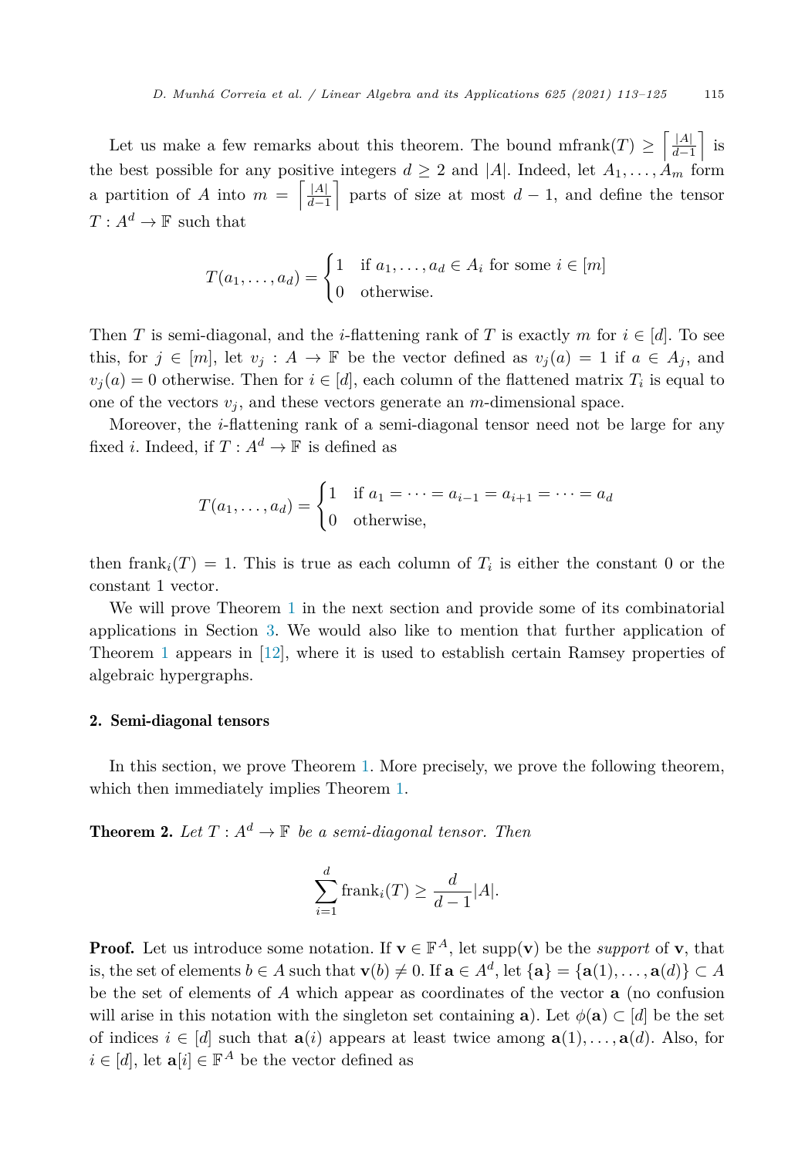Let us make a few remarks about this theorem. The bound mfrank $(T) \geq \left| \frac{|A|}{d-1} \right|$ *d*−1 is the best possible for any positive integers  $d \geq 2$  and |A|. Indeed, let  $A_1, \ldots, A_m$  form a partition of *A* into  $m = \frac{A}{d}$ *d*−1 parts of size at most  $d-1$ , and define the tensor  $T: A^d \to \mathbb{F}$  such that

$$
T(a_1, \dots, a_d) = \begin{cases} 1 & \text{if } a_1, \dots, a_d \in A_i \text{ for some } i \in [m] \\ 0 & \text{otherwise.} \end{cases}
$$

Then *T* is semi-diagonal, and the *i*-flattening rank of *T* is exactly *m* for  $i \in [d]$ . To see this, for  $j \in [m]$ , let  $v_j : A \to \mathbb{F}$  be the vector defined as  $v_j(a) = 1$  if  $a \in A_j$ , and  $v_i(a) = 0$  otherwise. Then for  $i \in [d]$ , each column of the flattened matrix  $T_i$  is equal to one of the vectors  $v_j$ , and these vectors generate an *m*-dimensional space.

Moreover, the *i*-flattening rank of a semi-diagonal tensor need not be large for any fixed *i*. Indeed, if  $T: A^d \to \mathbb{F}$  is defined as

$$
T(a_1, ..., a_d) = \begin{cases} 1 & \text{if } a_1 = ... = a_{i-1} = a_{i+1} = ... = a_d \\ 0 & \text{otherwise,} \end{cases}
$$

then frank<sub>i</sub> $(T) = 1$ . This is true as each column of  $T_i$  is either the constant 0 or the constant 1 vector.

We will prove Theorem [1](#page-1-0) in the next section and provide some of its combinatorial applications in Section [3.](#page-4-0) We would also like to mention that further application of Theorem [1](#page-1-0) appears in [\[12](#page-12-0)], where it is used to establish certain Ramsey properties of algebraic hypergraphs.

## 2. Semi-diagonal tensors

In this section, we prove Theorem [1](#page-1-0). More precisely, we prove the following theorem, which then immediately implies Theorem [1.](#page-1-0)

**Theorem 2.** Let  $T: A^d \to \mathbb{F}$  be a semi-diagonal tensor. Then

$$
\sum_{i=1}^{d} \text{frank}_{i}(T) \ge \frac{d}{d-1}|A|.
$$

**Proof.** Let us introduce some notation. If  $\mathbf{v} \in \mathbb{F}^A$ , let supp(**v**) be the *support* of **v**, that is, the set of elements  $b \in A$  such that  $\mathbf{v}(b) \neq 0$ . If  $\mathbf{a} \in A^d$ , let  $\{\mathbf{a}\} = \{\mathbf{a}(1), \ldots, \mathbf{a}(d)\} \subset A$ be the set of elements of *A* which appear as coordinates of the vector **a** (no confusion will arise in this notation with the singleton set containing **a**). Let  $\phi(\mathbf{a}) \subset [d]$  be the set of indices  $i \in [d]$  such that  $\mathbf{a}(i)$  appears at least twice among  $\mathbf{a}(1), \ldots, \mathbf{a}(d)$ . Also, for  $i \in [d]$ , let  $\mathbf{a}[i] \in \mathbb{F}^A$  be the vector defined as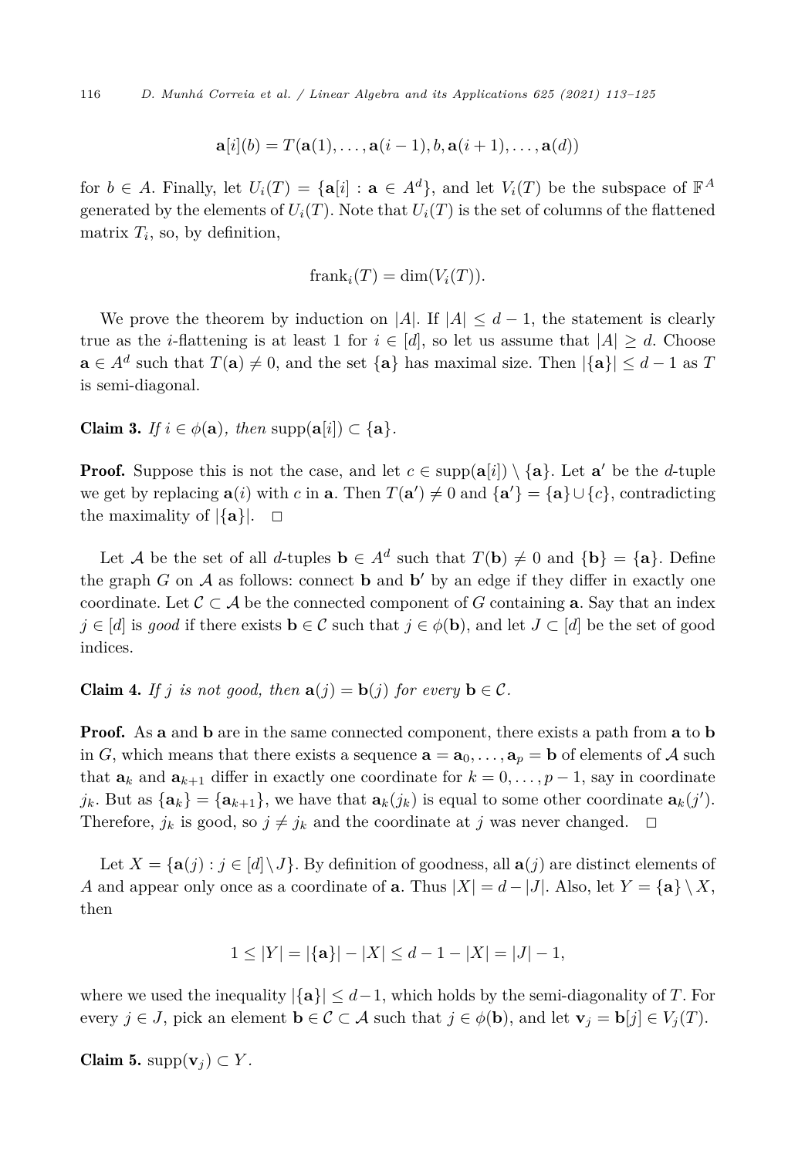$$
\mathbf{a}[i](b) = T(\mathbf{a}(1),\ldots,\mathbf{a}(i-1),b,\mathbf{a}(i+1),\ldots,\mathbf{a}(d))
$$

<span id="page-3-0"></span>for  $b \in A$ . Finally, let  $U_i(T) = {\bf{a}}[i] : {\bf{a}} \in A^d$ , and let  $V_i(T)$  be the subspace of  $\mathbb{F}^A$ generated by the elements of  $U_i(T)$ . Note that  $U_i(T)$  is the set of columns of the flattened matrix  $T_i$ , so, by definition,

$$
franki(T) = \dim(Vi(T)).
$$

We prove the theorem by induction on |*A*|. If  $|A| \leq d-1$ , the statement is clearly true as the *i*-flattening is at least 1 for  $i \in [d]$ , so let us assume that  $|A| \geq d$ . Choose **a** ∈  $A^d$  such that  $T(\mathbf{a}) \neq 0$ , and the set  $\{\mathbf{a}\}\$  has maximal size. Then  $|\{\mathbf{a}\}| \leq d - 1$  as  $T$ is semi-diagonal.

Claim 3. *If*  $i \in \phi(\mathbf{a})$ , *then* supp $(\mathbf{a}[i]) \subset \{\mathbf{a}\}\.$ 

**Proof.** Suppose this is not the case, and let  $c \in \text{supp}(\mathbf{a}[i]) \setminus \{\mathbf{a}\}\$ . Let  $\mathbf{a}'$  be the *d*-tuple we get by replacing  $\mathbf{a}(i)$  with *c* in **a**. Then  $T(\mathbf{a}') \neq 0$  and  $\{\mathbf{a}'\} = \{\mathbf{a}\} \cup \{c\}$ , contradicting the maximality of  $|\{\mathbf{a}\}|$ .  $\Box$ 

Let *A* be the set of all *d*-tuples  $\mathbf{b} \in A^d$  such that  $T(\mathbf{b}) \neq 0$  and  $\{\mathbf{b}\} = \{\mathbf{a}\}\$ . Define the graph  $G$  on  $A$  as follows: connect **b** and **b**' by an edge if they differ in exactly one coordinate. Let  $\mathcal{C} \subset \mathcal{A}$  be the connected component of *G* containing **a**. Say that an index *j* ∈ [*d*] is *good* if there exists **b** ∈ C such that *j* ∈  $\phi$ (**b**), and let *J* ⊂ [*d*] be the set of good indices.

**Claim 4.** *If j is not good, then*  $\mathbf{a}(j) = \mathbf{b}(j)$  *for every*  $\mathbf{b} \in \mathcal{C}$ *.* 

Proof. As **a** and **b** are in the same connected component, there exists a path from **a** to **b** in *G*, which means that there exists a sequence  $\mathbf{a} = \mathbf{a}_0, \ldots, \mathbf{a}_p = \mathbf{b}$  of elements of A such that  $\mathbf{a}_k$  and  $\mathbf{a}_{k+1}$  differ in exactly one coordinate for  $k = 0, \ldots, p-1$ , say in coordinate  $j_k$ . But as  $\{a_k\} = \{a_{k+1}\}$ , we have that  $a_k(j_k)$  is equal to some other coordinate  $a_k(j')$ . Therefore,  $j_k$  is good, so  $j \neq j_k$  and the coordinate at *j* was never changed.  $\Box$ 

Let  $X = \{a(j) : j \in [d] \setminus J\}$ . By definition of goodness, all  $a(j)$  are distinct elements of *A* and appear only once as a coordinate of **a**. Thus  $|X| = d - |J|$ . Also, let  $Y = {\bf{a}} \setminus X$ , then

$$
1 \le |Y| = |\{a\}| - |X| \le d - 1 - |X| = |J| - 1,
$$

where we used the inequality  $|\{\mathbf{a}\}| \leq d-1$ , which holds by the semi-diagonality of *T*. For every  $j \in J$ , pick an element  $\mathbf{b} \in \mathcal{C} \subset \mathcal{A}$  such that  $j \in \phi(\mathbf{b})$ , and let  $\mathbf{v}_j = \mathbf{b}[j] \in V_j(T)$ .

Claim 5. supp $(\mathbf{v}_i) \subset Y$ .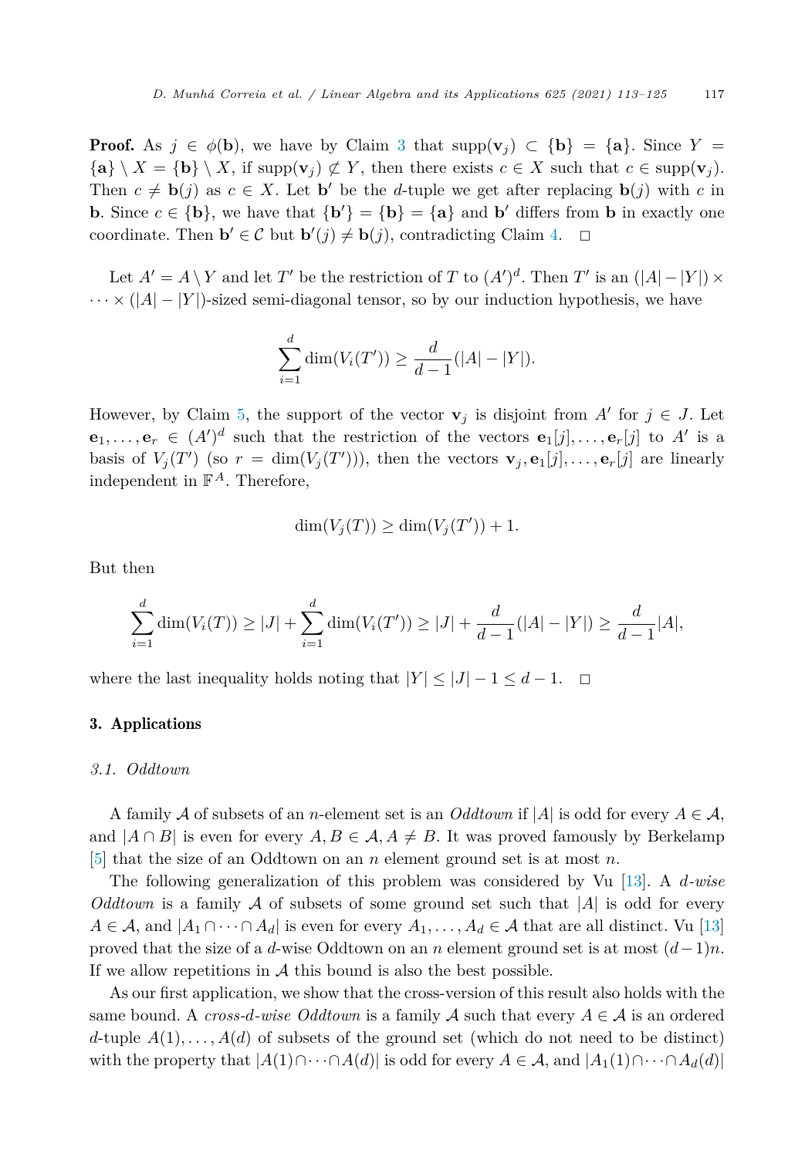<span id="page-4-0"></span>**Proof.** As  $j \in \phi(\mathbf{b})$ , we have by Claim [3](#page-3-0) that supp $(\mathbf{v}_i) \subset {\mathbf{b}} = {\mathbf{a}}$ . Since  $Y =$  ${\bf a} \setminus X = {\bf b} \setminus X$ , if  $\text{supp}({\bf v}_i) \not\subset Y$ , then there exists  $c \in X$  such that  $c \in \text{supp}({\bf v}_i)$ . Then  $c \neq \mathbf{b}(j)$  as  $c \in X$ . Let  $\mathbf{b}'$  be the *d*-tuple we get after replacing  $\mathbf{b}(j)$  with *c* in **b**. Since  $c \in \{b\}$ , we have that  $\{b'\} = \{b\} = \{a\}$  and  $b'$  differs from **b** in exactly one coordinate. Then **b**<sup> $\prime$ </sup>  $\in \mathcal{C}$  but **b**<sup> $\prime$ </sup> $(j) \neq$  **b** $(j)$ , contradicting Claim [4.](#page-3-0)  $\Box$  $\Box$ 

Let  $A' = A \setminus Y$  and let  $T'$  be the restriction of  $T$  to  $(A')^d$ . Then  $T'$  is an  $(|A| - |Y|) \times$  $\cdots \times (|A| - |Y|)$ -sized semi-diagonal tensor, so by our induction hypothesis, we have

$$
\sum_{i=1}^{d} \dim(V_i(T')) \ge \frac{d}{d-1}(|A| - |Y|).
$$

However, by Claim [5](#page-3-0), the support of the vector  $\mathbf{v}_j$  is disjoint from  $A'$  for  $j \in J$ . Let **e**<sub>1</sub>, ..., **e**<sub>*r*</sub>  $\in$   $(A')^d$  such that the restriction of the vectors **e**<sub>1</sub>[*j*], ..., **e**<sub>*r*</sub>[*j*] to *A*' is a basis of  $V_j(T')$  (so  $r = \dim(V_j(T'))$ ), then the vectors  $\mathbf{v}_j, \mathbf{e}_1[j], \ldots, \mathbf{e}_r[j]$  are linearly independent in  $\mathbb{F}^A$ . Therefore,

$$
\dim(V_j(T)) \ge \dim(V_j(T')) + 1.
$$

But then

$$
\sum_{i=1}^{d} \dim(V_i(T)) \ge |J| + \sum_{i=1}^{d} \dim(V_i(T')) \ge |J| + \frac{d}{d-1}(|A| - |Y|) \ge \frac{d}{d-1}|A|,
$$

where the last inequality holds noting that  $|Y| \leq |J| - 1 \leq d - 1$ .  $\Box$ 

# 3. Applications

## *3.1. Oddtown*

A family A of subsets of an *n*-element set is an *Oddtown* if  $|A|$  is odd for every  $A \in \mathcal{A}$ , and  $|A \cap B|$  is even for every  $A, B \in \mathcal{A}, A \neq B$ . It was proved famously by Berkelamp [\[5](#page-11-0)] that the size of an Oddtown on an *n* element ground set is at most *n*.

The following generalization of this problem was considered by Vu [\[13](#page-12-0)]. A *d-wise Oddtown* is a family  $\mathcal A$  of subsets of some ground set such that  $|\mathcal A|$  is odd for every  $A \in \mathcal{A}$ , and  $|A_1 \cap \cdots \cap A_d|$  is even for every  $A_1, \ldots, A_d \in \mathcal{A}$  that are all distinct. Vu [\[13](#page-12-0)] proved that the size of a *d*-wise Oddtown on an *n* element ground set is at most (*d*−1)*n*. If we allow repetitions in  $A$  this bound is also the best possible.

As our first application, we show that the cross-version of this result also holds with the same bound. A *cross-d-wise*  $Oddtown$  is a family  $A$  such that every  $A \in \mathcal{A}$  is an ordered *d*-tuple  $A(1), \ldots, A(d)$  of subsets of the ground set (which do not need to be distinct) with the property that  $|A(1) \cap \cdots \cap A(d)|$  is odd for every  $A \in \mathcal{A}$ , and  $|A_1(1) \cap \cdots \cap A_d(d)|$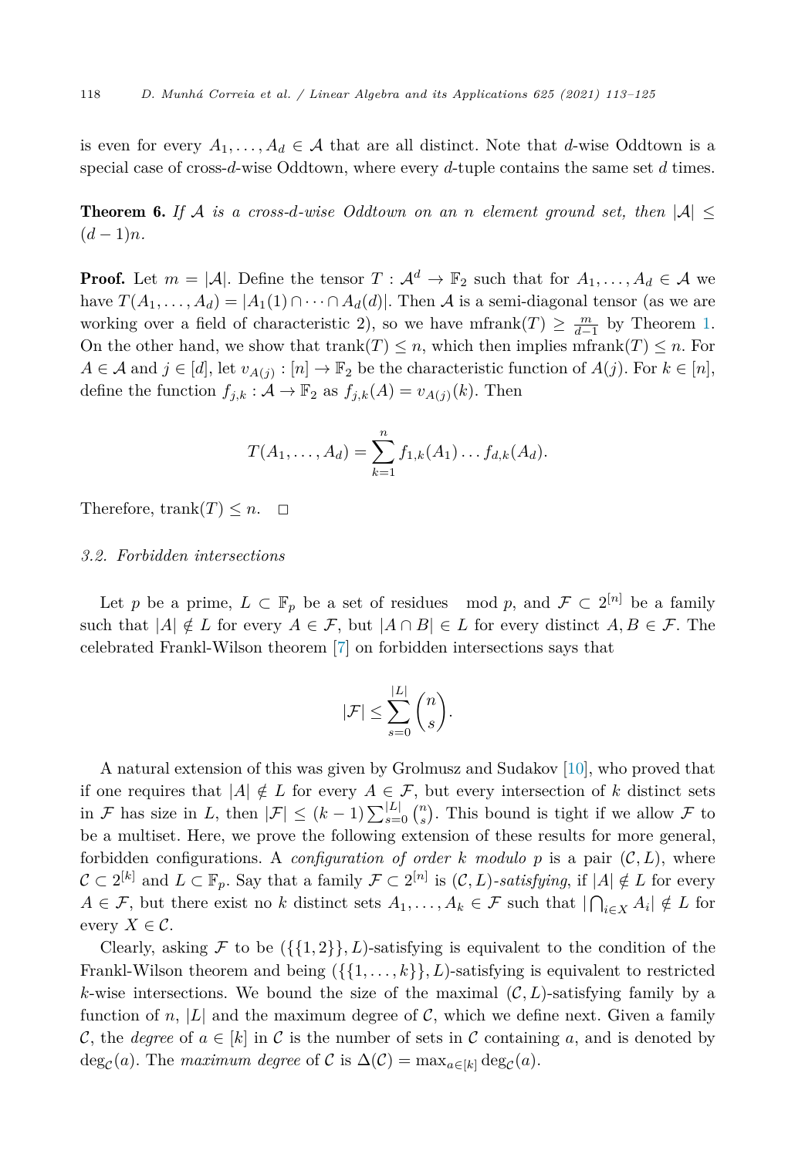is even for every  $A_1, \ldots, A_d \in \mathcal{A}$  that are all distinct. Note that *d*-wise Oddtown is a special case of cross-*d*-wise Oddtown, where every *d*-tuple contains the same set *d* times.

**Theorem 6.** If A is a cross-d-wise Oddtown on an n element ground set, then  $|A| \leq$  $(d-1)n$ .

**Proof.** Let  $m = |\mathcal{A}|$ . Define the tensor  $T : \mathcal{A}^d \to \mathbb{F}_2$  such that for  $A_1, \ldots, A_d \in \mathcal{A}$  we have  $T(A_1, \ldots, A_d) = |A_1(1) \cap \cdots \cap A_d(d)|$ . Then A is a semi-diagonal tensor (as we are working over a field of characteristic 2), so we have mfrank $(T) \geq \frac{m}{d-1}$  by Theorem [1.](#page-1-0) On the other hand, we show that trank $(T) \leq n$ , which then implies mfrank $(T) \leq n$ . For  $A \in \mathcal{A}$  and  $j \in [d]$ , let  $v_{A(j)} : [n] \to \mathbb{F}_2$  be the characteristic function of  $A(j)$ . For  $k \in [n]$ , define the function  $f_{j,k}$ :  $\mathcal{A} \to \mathbb{F}_2$  as  $f_{j,k}(A) = v_{A(j)}(k)$ . Then

$$
T(A_1, ..., A_d) = \sum_{k=1}^n f_{1,k}(A_1) ... f_{d,k}(A_d).
$$

Therefore, trank $(T) \leq n$ .  $\Box$ 

#### *3.2. Forbidden intersections*

Let *p* be a prime,  $L \subset \mathbb{F}_p$  be a set of residues mod *p*, and  $\mathcal{F} \subset 2^{[n]}$  be a family such that  $|A| \notin L$  for every  $A \in \mathcal{F}$ , but  $|A \cap B| \in L$  for every distinct  $A, B \in \mathcal{F}$ . The celebrated Frankl-Wilson theorem [\[7\]](#page-12-0) on forbidden intersections says that

$$
|\mathcal{F}| \leq \sum_{s=0}^{|L|} \binom{n}{s}.
$$

A natural extension of this was given by Grolmusz and Sudakov [\[10](#page-12-0)], who proved that if one requires that  $|A| \notin L$  for every  $A \in \mathcal{F}$ , but every intersection of *k* distinct sets in F has size in L, then  $|\mathcal{F}| \leq (k-1) \sum_{s=0}^{|L|} {n \choose s}$ . This bound is tight if we allow F to be a multiset. Here, we prove the following extension of these results for more general, forbidden configurations. A *configuration* of order *k* modulo p is a pair  $(C, L)$ , where  $\mathcal{C} \subset 2^{[k]}$  and  $L \subset \mathbb{F}_p$ . Say that a family  $\mathcal{F} \subset 2^{[n]}$  is  $(\mathcal{C}, L)$ *-satisfying*, if  $|A| \notin L$  for every  $A \in \mathcal{F}$ , but there exist no *k* distinct sets  $A_1, \ldots, A_k \in \mathcal{F}$  such that  $|\bigcap_{i \in X} A_i| \notin L$  for every  $X \in \mathcal{C}$ .

Clearly, asking F to be  $({1, 2}, L)$ -satisfying is equivalent to the condition of the Frankl-Wilson theorem and being  $({\{1,\ldots,k\}},L)$ -satisfying is equivalent to restricted *k*-wise intersections. We bound the size of the maximal  $(C, L)$ -satisfying family by a function of *n*,  $|L|$  and the maximum degree of  $\mathcal{C}$ , which we define next. Given a family C, the *degree* of  $a \in [k]$  in C is the number of sets in C containing a, and is denoted by  $deg_{\mathcal{C}}(a)$ . The *maximum degree* of  $\mathcal{C}$  is  $\Delta(\mathcal{C}) = \max_{a \in [k]} deg_{\mathcal{C}}(a)$ .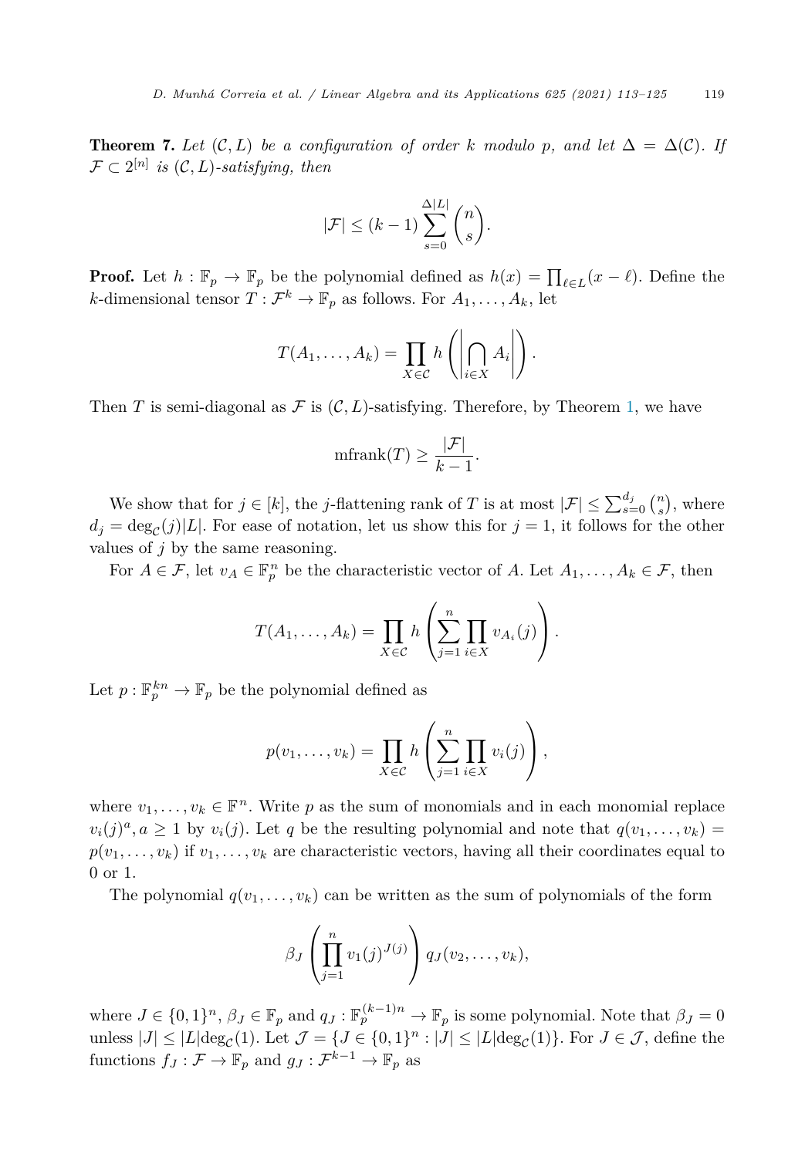**Theorem 7.** Let  $(C, L)$  be a configuration of order k modulo p, and let  $\Delta = \Delta(C)$ . If  $\mathcal{F} \subset 2^{[n]}$  *is*  $(\mathcal{C}, L)$ -satisfying, then

$$
|\mathcal{F}| \le (k-1) \sum_{s=0}^{\Delta |L|} \binom{n}{s}.
$$

**Proof.** Let  $h: \mathbb{F}_p \to \mathbb{F}_p$  be the polynomial defined as  $h(x) = \prod_{\ell \in L} (x - \ell)$ . Define the *k*-dimensional tensor  $T: \mathcal{F}^k \to \mathbb{F}_p$  as follows. For  $A_1, \ldots, A_k$ , let

$$
T(A_1,\ldots,A_k)=\prod_{X\in\mathcal{C}}h\left(\left|\bigcap_{i\in X}A_i\right|\right).
$$

Then *T* is semi-diagonal as  $\mathcal F$  is  $(\mathcal C, L)$ -satisfying. Therefore, by Theorem [1,](#page-1-0) we have

$$
\mathrm{mfrank}(T) \ge \frac{|\mathcal{F}|}{k-1}.
$$

We show that for  $j \in [k]$ , the *j*-flattening rank of *T* is at most  $|\mathcal{F}| \le \sum_{s=0}^{d_j} {n \choose s}$ , where  $d_j = \deg_c(j)|L|$ . For ease of notation, let us show this for  $j = 1$ , it follows for the other values of *j* by the same reasoning.

For  $A \in \mathcal{F}$ , let  $v_A \in \mathbb{F}_p^n$  be the characteristic vector of  $A$ . Let  $A_1, \ldots, A_k \in \mathcal{F}$ , then

$$
T(A_1,\ldots,A_k)=\prod_{X\in\mathcal{C}}h\left(\sum_{j=1}^n\prod_{i\in X}v_{A_i}(j)\right).
$$

Let  $p: \mathbb{F}_p^{kn} \to \mathbb{F}_p$  be the polynomial defined as

$$
p(v_1,\ldots,v_k)=\prod_{X\in\mathcal{C}}h\left(\sum_{j=1}^n\prod_{i\in X}v_i(j)\right),
$$

where  $v_1, \ldots, v_k \in \mathbb{F}^n$ . Write p as the sum of monomials and in each monomial replace  $v_i(j)^a, a \ge 1$  by  $v_i(j)$ . Let *q* be the resulting polynomial and note that  $q(v_1, \ldots, v_k)$  $p(v_1, \ldots, v_k)$  if  $v_1, \ldots, v_k$  are characteristic vectors, having all their coordinates equal to 0 or 1.

The polynomial  $q(v_1, \ldots, v_k)$  can be written as the sum of polynomials of the form

$$
\beta_J\left(\prod_{j=1}^n v_1(j)^{J(j)}\right)q_J(v_2,\ldots,v_k),
$$

where  $J \in \{0,1\}^n$ ,  $\beta_J \in \mathbb{F}_p$  and  $q_J : \mathbb{F}_p^{(k-1)n} \to \mathbb{F}_p$  is some polynomial. Note that  $\beta_J = 0$ unless  $|J| \leq |L|\deg_{\mathcal{C}}(1)$ . Let  $\mathcal{J} = \{J \in \{0,1\}^n : |J| \leq |L|\deg_{\mathcal{C}}(1)\}$ . For  $J \in \mathcal{J}$ , define the functions  $f_J : \mathcal{F} \to \mathbb{F}_p$  and  $g_J : \mathcal{F}^{k-1} \to \mathbb{F}_p$  as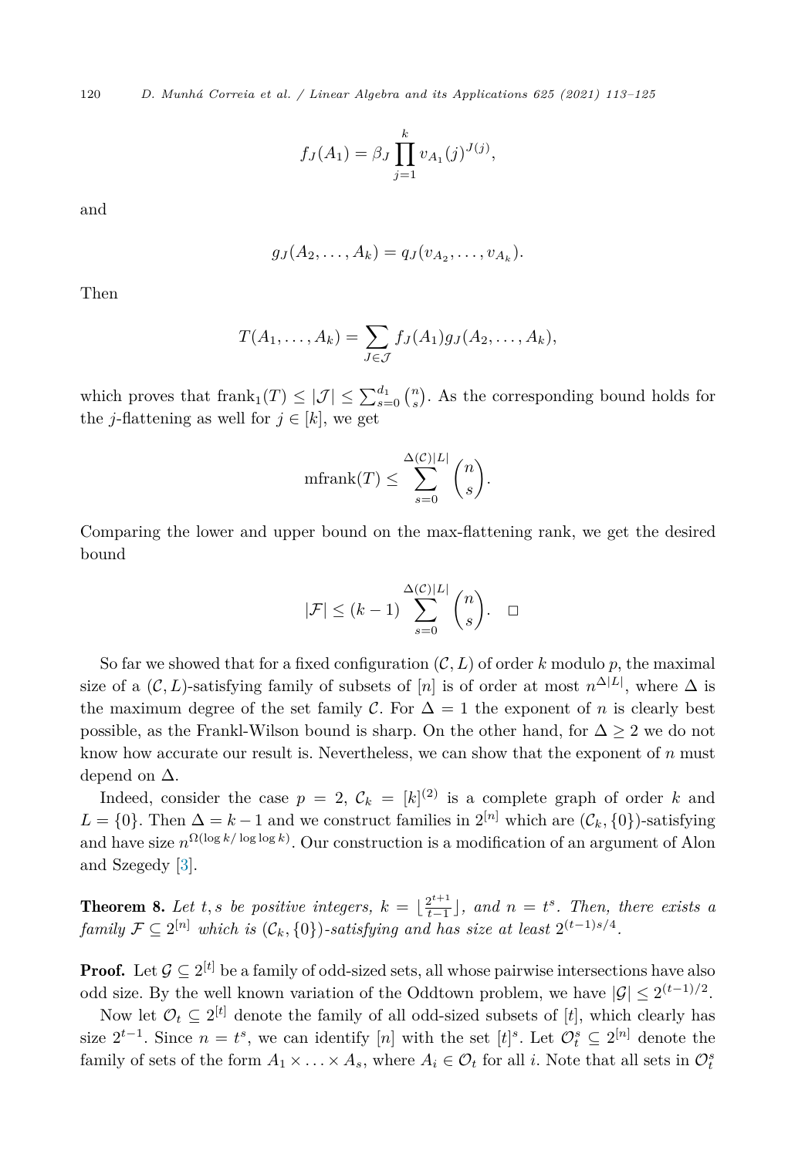120 *D. Munhá Correia et al. / Linear Algebra and its Applications 625 (2021) 113–125*

$$
f_J(A_1) = \beta_J \prod_{j=1}^k v_{A_1}(j)^{J(j)},
$$

and

$$
g_J(A_2,\ldots,A_k)=q_J(v_{A_2},\ldots,v_{A_k}).
$$

Then

$$
T(A_1,\ldots,A_k)=\sum_{J\in\mathcal{J}}f_J(A_1)g_J(A_2,\ldots,A_k),
$$

which proves that  $\text{frank}_1(T) \leq |\mathcal{J}| \leq \sum_{s=0}^{d_1} {n \choose s}$ . As the corresponding bound holds for the *j*-flattening as well for  $j \in [k]$ , we get

$$
\text{mfrank}(T) \le \sum_{s=0}^{\Delta(\mathcal{C})|L|} \binom{n}{s}.
$$

Comparing the lower and upper bound on the max-flattening rank, we get the desired bound

$$
|\mathcal{F}| \le (k-1) \sum_{s=0}^{\Delta(\mathcal{C})|L|} \binom{n}{s}.
$$

So far we showed that for a fixed configuration  $(C, L)$  of order k modulo p, the maximal size of a  $(C, L)$ -satisfying family of subsets of  $[n]$  is of order at most  $n^{\Delta|L|}$ , where  $\Delta$  is the maximum degree of the set family C. For  $\Delta = 1$  the exponent of *n* is clearly best possible, as the Frankl-Wilson bound is sharp. On the other hand, for  $\Delta \geq 2$  we do not know how accurate our result is. Nevertheless, we can show that the exponent of *n* must depend on  $\Delta$ .

Indeed, consider the case  $p = 2$ ,  $\mathcal{C}_k = [k]^{(2)}$  is a complete graph of order k and  $L = \{0\}$ . Then  $\Delta = k - 1$  and we construct families in  $2^{[n]}$  which are  $(\mathcal{C}_k, \{0\})$ -satisfying and have size *n*Ω(log *k/* log log *<sup>k</sup>*) . Our construction is a modification of an argument of Alon and Szegedy [\[3](#page-11-0)].

**Theorem 8.** Let t, s be positive integers,  $k = \lfloor \frac{2^{t+1}}{t-1} \rfloor$ , and  $n = t^s$ . Then, there exists a *family*  $\mathcal{F} \subseteq 2^{[n]}$  *which is*  $(\mathcal{C}_k, \{0\})$ *-satisfying* and has *size* at least  $2^{(t-1)s/4}$ .

**Proof.** Let  $\mathcal{G} \subseteq 2^{[t]}$  be a family of odd-sized sets, all whose pairwise intersections have also odd size. By the well known variation of the Oddtown problem, we have  $|\mathcal{G}| \leq 2^{(t-1)/2}$ .

Now let  $\mathcal{O}_t \subseteq 2^{[t]}$  denote the family of all odd-sized subsets of [*t*], which clearly has size  $2^{t-1}$ . Since  $n = t^s$ , we can identify [*n*] with the set  $[t]^s$ . Let  $\mathcal{O}_t^s \subseteq 2^{[n]}$  denote the family of sets of the form  $A_1 \times \ldots \times A_s$ , where  $A_i \in \mathcal{O}_t$  for all *i*. Note that all sets in  $\mathcal{O}_t^s$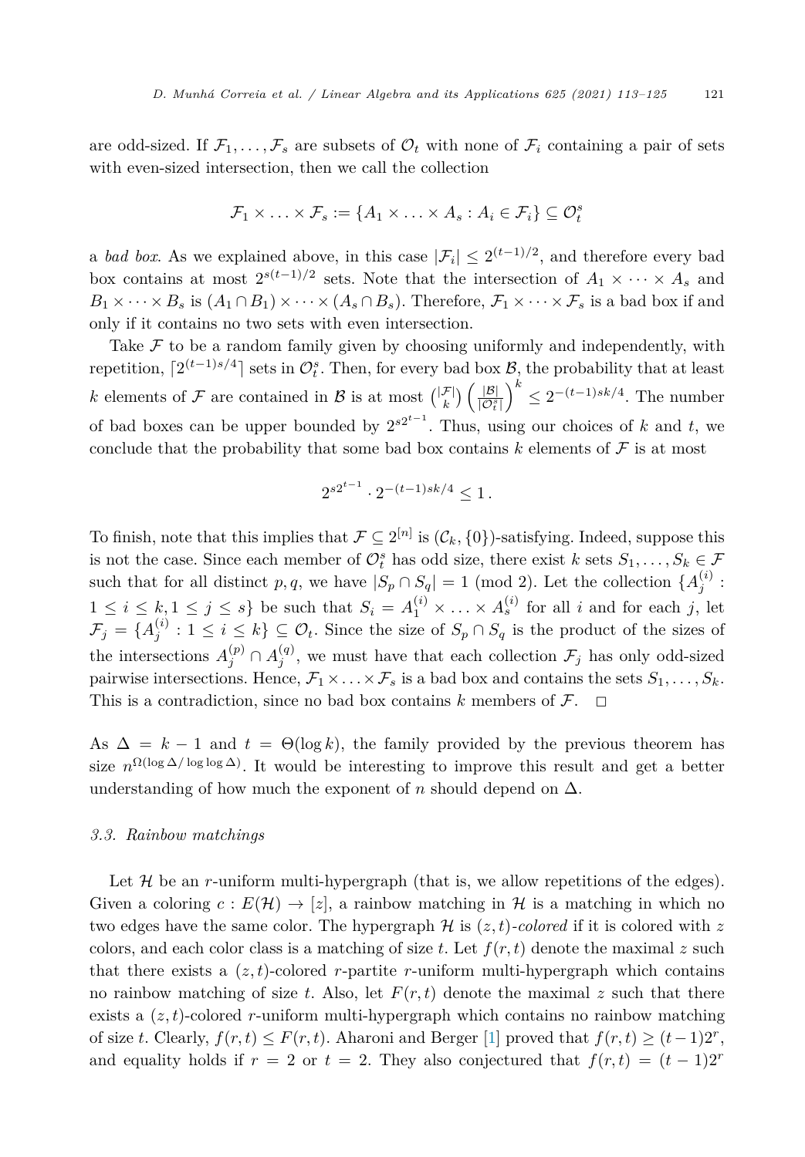are odd-sized. If  $\mathcal{F}_1,\ldots,\mathcal{F}_s$  are subsets of  $\mathcal{O}_t$  with none of  $\mathcal{F}_i$  containing a pair of sets with even-sized intersection, then we call the collection

$$
\mathcal{F}_1 \times \ldots \times \mathcal{F}_s := \{ A_1 \times \ldots \times A_s : A_i \in \mathcal{F}_i \} \subseteq \mathcal{O}_t^s
$$

a *bad box*. As we explained above, in this case  $|\mathcal{F}_i| \leq 2^{(t-1)/2}$ , and therefore every bad box contains at most  $2^{s(t-1)/2}$  sets. Note that the intersection of  $A_1 \times \cdots \times A_s$  and  $B_1 \times \cdots \times B_s$  is  $(A_1 \cap B_1) \times \cdots \times (A_s \cap B_s)$ . Therefore,  $\mathcal{F}_1 \times \cdots \times \mathcal{F}_s$  is a bad box if and only if it contains no two sets with even intersection.

Take  $\mathcal F$  to be a random family given by choosing uniformly and independently, with repetition,  $\lceil 2^{(t-1)s/4} \rceil$  sets in  $\mathcal{O}_t^s$ . Then, for every bad box  $\mathcal{B}_t$ , the probability that at least *k* elements of  $\mathcal F$  are contained in  $\mathcal B$  is at most  $\binom{|\mathcal F|}{k} \left( \frac{|\mathcal B|}{|\mathcal O_i^s|} \right)$  $\left(\int_0^k$  ≤ 2<sup>−(*t*−1)*sk*/4. The number</sup> of bad boxes can be upper bounded by  $2^{s2^{t-1}}$ . Thus, using our choices of *k* and *t*, we conclude that the probability that some bad box contains  $k$  elements of  $\mathcal F$  is at most

$$
2^{s2^{t-1}} \cdot 2^{-(t-1)sk/4} \le 1.
$$

To finish, note that this implies that  $\mathcal{F} \subseteq 2^{[n]}$  is  $(\mathcal{C}_k, \{0\})$ -satisfying. Indeed, suppose this is not the case. Since each member of  $\mathcal{O}_t^s$  has odd size, there exist  $k$  sets  $S_1, \ldots, S_k \in \mathcal{F}$ such that for all distinct *p*, *q*, we have  $|S_p \cap S_q| = 1 \pmod{2}$ . Let the collection  $\{A_j^{(i)}\}$ :  $1 \leq i \leq k, 1 \leq j \leq s$  be such that  $S_i = A_1^{(i)} \times \ldots \times A_s^{(i)}$  for all *i* and for each *j*, let  $\mathcal{F}_j = \{A_j^{(i)} : 1 \leq i \leq k\} \subseteq \mathcal{O}_t$ . Since the size of  $S_p \cap S_q$  is the product of the sizes of the intersections  $A_j^{(p)} \cap A_j^{(q)}$ , we must have that each collection  $\mathcal{F}_j$  has only odd-sized pairwise intersections. Hence,  $\mathcal{F}_1 \times \ldots \times \mathcal{F}_s$  is a bad box and contains the sets  $S_1, \ldots, S_k$ . This is a contradiction, since no bad box contains  $k$  members of  $\mathcal{F}$ .  $\Box$ 

As  $\Delta = k - 1$  and  $t = \Theta(\log k)$ , the family provided by the previous theorem has size  $n^{\Omega(\log \Delta/\log \log \Delta)}$ . It would be interesting to improve this result and get a better understanding of how much the exponent of  $n$  should depend on  $\Delta$ .

#### *3.3. Rainbow matchings*

Let  $H$  be an *r*-uniform multi-hypergraph (that is, we allow repetitions of the edges). Given a coloring  $c : E(\mathcal{H}) \to [z]$ , a rainbow matching in H is a matching in which no two edges have the same color. The hypergraph  $\mathcal H$  is  $(z, t)$ -colored if it is colored with z colors, and each color class is a matching of size *t*. Let  $f(r, t)$  denote the maximal *z* such that there exists a  $(z, t)$ -colored *r*-partite *r*-uniform multi-hypergraph which contains no rainbow matching of size *t*. Also, let  $F(r, t)$  denote the maximal *z* such that there exists a (*z,t*)-colored *r*-uniform multi-hypergraph which contains no rainbow matching of size *t*. Clearly,  $f(r,t) \leq F(r,t)$ . Aharoni and Berger [\[1](#page-11-0)] proved that  $f(r,t) \geq (t-1)2^r$ , and equality holds if  $r = 2$  or  $t = 2$ . They also conjectured that  $f(r,t) = (t-1)2^r$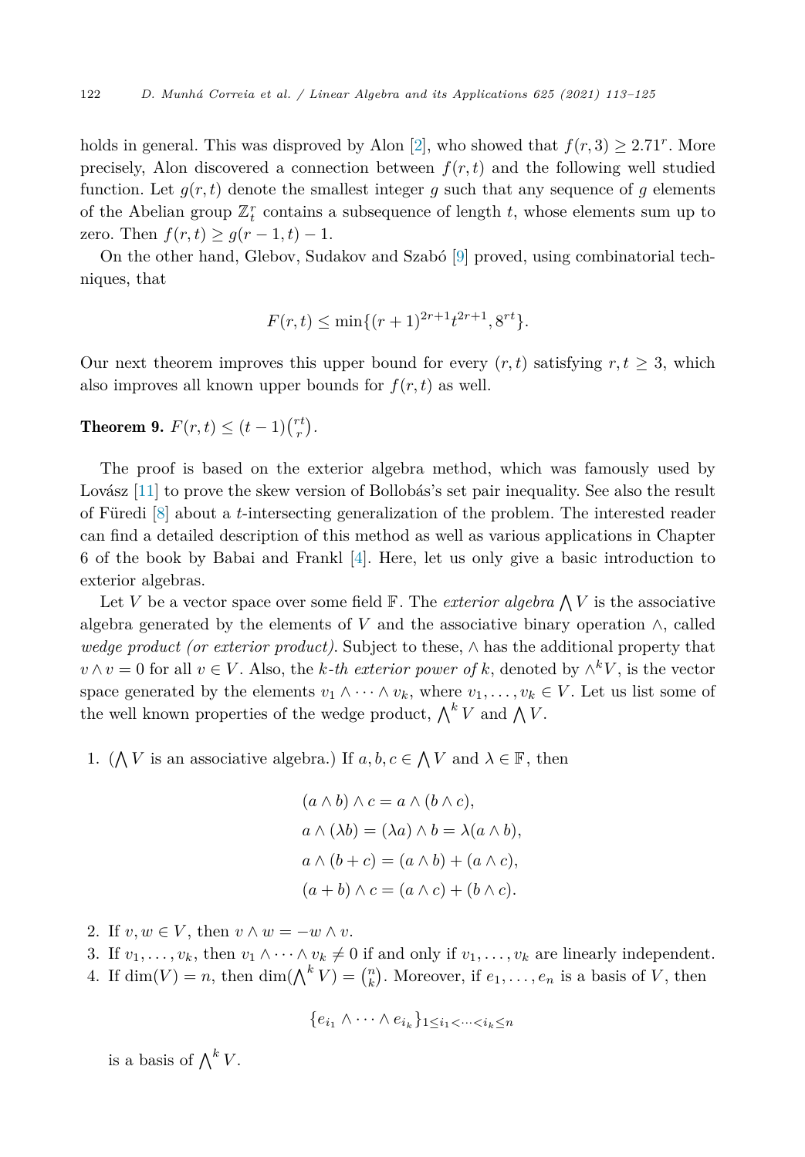<span id="page-9-0"></span>holds in general. This was disproved by Alon [[2\]](#page-11-0), who showed that  $f(r, 3) \geq 2.71^r$ . More precisely, Alon discovered a connection between  $f(r, t)$  and the following well studied function. Let  $g(r,t)$  denote the smallest integer g such that any sequence of g elements of the Abelian group  $\mathbb{Z}_t^r$  contains a subsequence of length  $t$ , whose elements sum up to zero. Then  $f(r,t) \ge g(r-1,t) - 1$ .

On the other hand, Glebov, Sudakov and Szabó [\[9](#page-12-0)] proved, using combinatorial techniques, that

$$
F(r,t) \le \min\{(r+1)^{2r+1}t^{2r+1}, 8^{rt}\}.
$$

Our next theorem improves this upper bound for every  $(r,t)$  satisfying  $r,t \geq 3$ , which also improves all known upper bounds for *f*(*r,t*) as well.

**Theorem 9.**  $F(r, t) \leq (t - 1) {rt \choose r}.$ 

The proof is based on the exterior algebra method, which was famously used by Lovász [[11\]](#page-12-0) to prove the skew version of Bollobás's set pair inequality. See also the result of Füredi [[8\]](#page-12-0) about a *t*-intersecting generalization of the problem. The interested reader can find a detailed description of this method as well as various applications in Chapter 6 of the book by Babai and Frankl [\[4\]](#page-11-0). Here, let us only give a basic introduction to exterior algebras.

Let V be a vector space over some field  $\mathbb{F}$ . The *exterior algebra*  $\bigwedge V$  is the associative algebra generated by the elements of  $V$  and the associative binary operation  $\wedge$ , called *wedge product (or exterior product)*. Subject to these, ∧ has the additional property that *v* ∧ *v* = 0 for all *v* ∈ *V*. Also, the *k-th exterior power of k*, denoted by  $\wedge^k V$ , is the vector space generated by the elements  $v_1 \wedge \cdots \wedge v_k$ , where  $v_1, \ldots, v_k \in V$ . Let us list some of the well known properties of the wedge product,  $\bigwedge^k V$  and  $\bigwedge V$ .

1. ( $\bigwedge V$  is an associative algebra.) If  $a, b, c \in \bigwedge V$  and  $\lambda \in \mathbb{F}$ , then

$$
(a \wedge b) \wedge c = a \wedge (b \wedge c),
$$
  
\n
$$
a \wedge (\lambda b) = (\lambda a) \wedge b = \lambda (a \wedge b),
$$
  
\n
$$
a \wedge (b + c) = (a \wedge b) + (a \wedge c),
$$
  
\n
$$
(a + b) \wedge c = (a \wedge c) + (b \wedge c).
$$

- 2. If  $v, w \in V$ , then  $v \wedge w = -w \wedge v$ .
- 3. If  $v_1, \ldots, v_k$ , then  $v_1 \wedge \cdots \wedge v_k \neq 0$  if and only if  $v_1, \ldots, v_k$  are linearly independent.
- 4. If  $\dim(V) = n$ , then  $\dim(\bigwedge^k V) = \binom{n}{k}$ . Moreover, if  $e_1, \ldots, e_n$  is a basis of *V*, then

$$
\{e_{i_1} \wedge \cdots \wedge e_{i_k}\}_{1 \leq i_1 < \cdots < i_k \leq n}
$$

is a basis of  $\bigwedge^k V$ .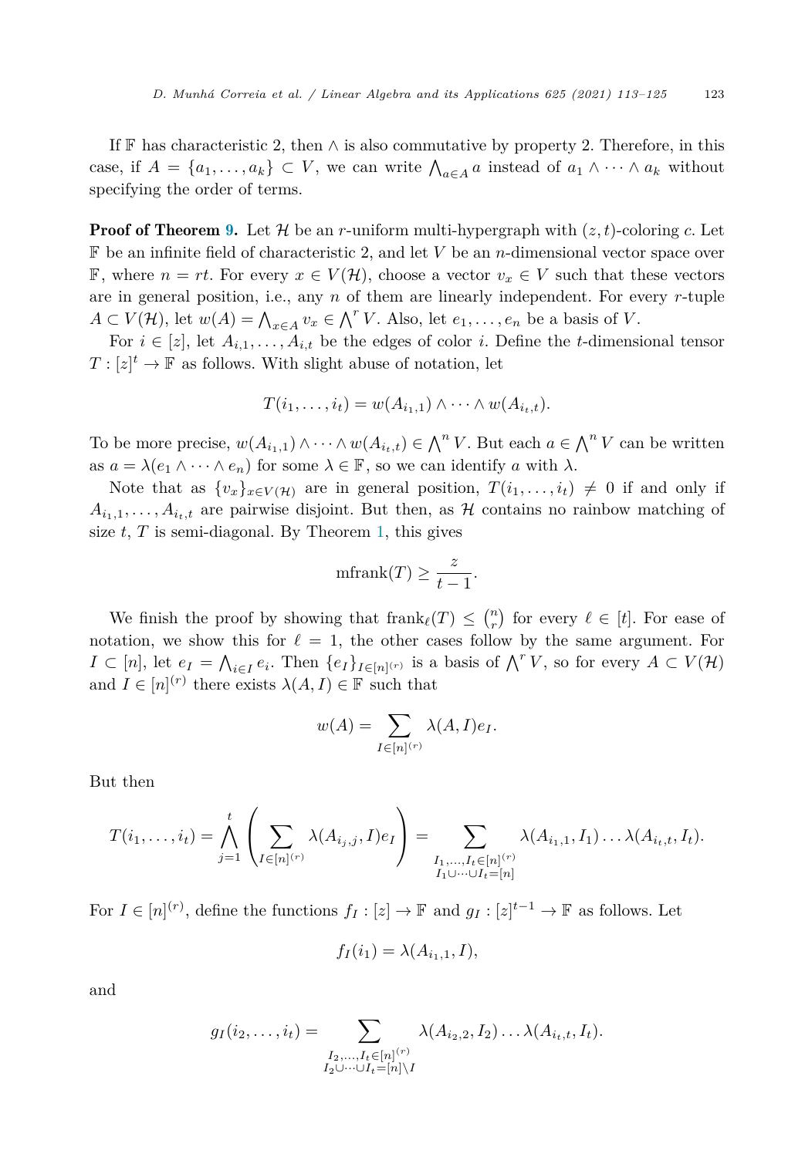If F has characteristic 2, then  $\wedge$  is also commutative by property 2. Therefore, in this case, if  $A = \{a_1, \ldots, a_k\} \subset V$ , we can write  $\bigwedge_{a \in A} a$  instead of  $a_1 \wedge \cdots \wedge a_k$  without specifying the order of terms.

**Proof of Theorem [9](#page-9-0).** Let  $\mathcal{H}$  be an *r*-uniform multi-hypergraph with  $(z, t)$ -coloring *c*. Let F be an infinite field of characteristic 2, and let *V* be an *n*-dimensional vector space over **F**, where *n* = *rt*. For every *x* ∈ *V*(*H*), choose a vector  $v_x$  ∈ *V* such that these vectors are in general position, i.e., any *n* of them are linearly independent. For every *r*-tuple  $A \subset V(H)$ , let  $w(A) = \bigwedge_{x \in A} v_x \in \bigwedge^r V$ . Also, let  $e_1, \ldots, e_n$  be a basis of *V*.

For  $i \in [z]$ , let  $A_{i,1}, \ldots, A_{i,t}$  be the edges of color *i*. Define the *t*-dimensional tensor  $T: [z]^t \to \mathbb{F}$  as follows. With slight abuse of notation, let

$$
T(i_1,\ldots,i_t)=w(A_{i_1,1})\wedge\cdots\wedge w(A_{i_t,t}).
$$

To be more precise,  $w(A_{i_1,1}) \wedge \cdots \wedge w(A_{i_t,t}) \in \bigwedge^n V$ . But each  $a \in \bigwedge^n V$  can be written as  $a = \lambda(e_1 \wedge \cdots \wedge e_n)$  for some  $\lambda \in \mathbb{F}$ , so we can identify *a* with  $\lambda$ .

Note that as  $\{v_x\}_{x \in V(H)}$  are in general position,  $T(i_1, \ldots, i_t) \neq 0$  if and only if  $A_{i_1,1}, \ldots, A_{i_t,t}$  are pairwise disjoint. But then, as H contains no rainbow matching of size  $t$ ,  $T$  is semi-diagonal. By Theorem [1](#page-1-0), this gives

$$
\text{mfrank}(T) \ge \frac{z}{t-1}.
$$

We finish the proof by showing that  $\text{frank}_{\ell}(T) \leq {n \choose r}$  for every  $\ell \in [t]$ . For ease of notation, we show this for  $\ell = 1$ , the other cases follow by the same argument. For *I* ⊂ [*n*], let *e<sub>I</sub>* =  $\bigwedge_{i \in I} e_i$ . Then  $\{e_I\}_{I \in [n]^{(r)}}$  is a basis of  $\bigwedge^r V$ , so for every  $A \subset V(H)$ and  $I \in [n]^{(r)}$  there exists  $\lambda(A, I) \in \mathbb{F}$  such that

$$
w(A) = \sum_{I \in [n]^{(r)}} \lambda(A, I) e_I.
$$

But then

$$
T(i_1, ..., i_t) = \bigwedge_{j=1}^t \left( \sum_{I \in [n]^{(r)}} \lambda(A_{i_j, j}, I) e_I \right) = \sum_{\substack{I_1, ..., I_t \in [n]^{(r)} \\ I_1 \cup \dots \cup I_t = [n]}} \lambda(A_{i_1, 1}, I_1) \dots \lambda(A_{i_t, t}, I_t).
$$

For  $I \in [n]^{(r)}$ , define the functions  $f_I : [z] \to \mathbb{F}$  and  $g_I : [z]^{t-1} \to \mathbb{F}$  as follows. Let

$$
f_I(i_1) = \lambda(A_{i_1,1}, I),
$$

and

$$
g_I(i_2,\ldots,i_t) = \sum_{\substack{I_2,\ldots,I_t \in [n]^{(r)} \\ I_2 \cup \cdots \cup I_t = [n] \setminus I}} \lambda(A_{i_2,2},I_2) \ldots \lambda(A_{i_t,t},I_t).
$$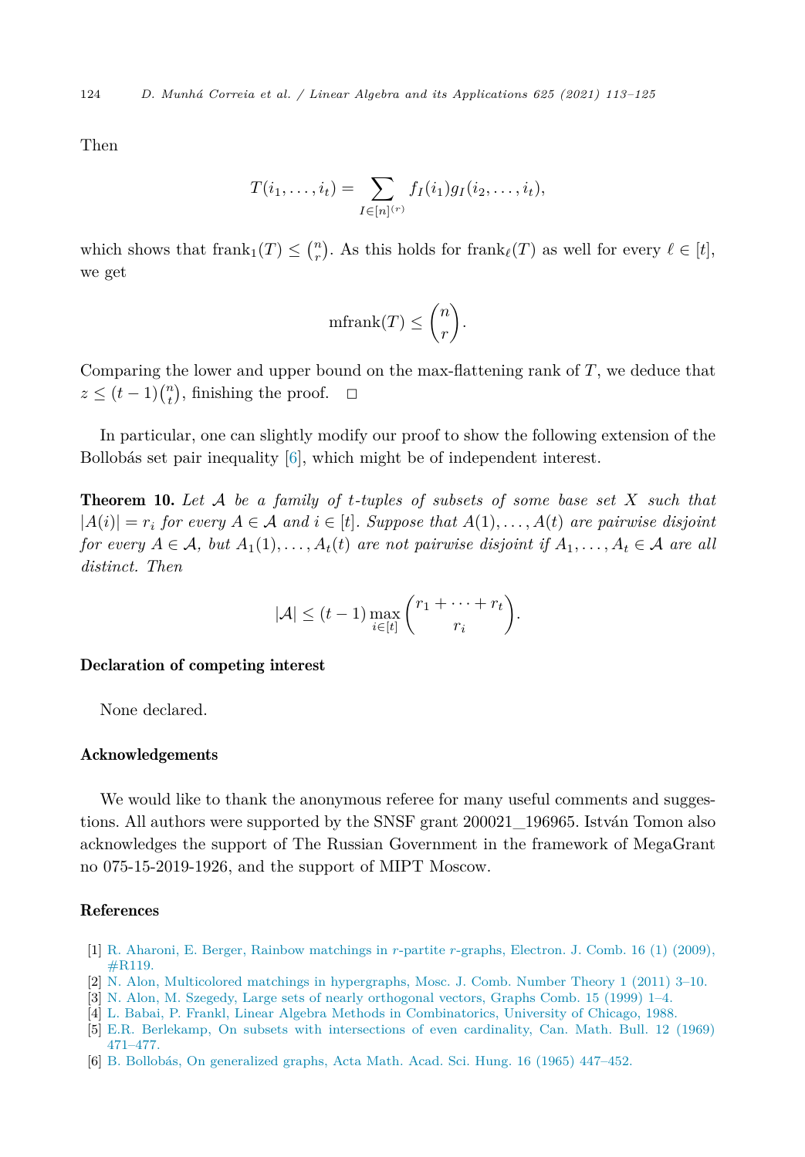<span id="page-11-0"></span>124 *D. Munhá Correia et al. / Linear Algebra and its Applications 625 (2021) 113–125*

Then

$$
T(i_1, ..., i_t) = \sum_{I \in [n]^{(r)}} f_I(i_1) g_I(i_2, ..., i_t),
$$

which shows that  $\text{frank}_1(T) \leq \binom{n}{r}$ . As this holds for  $\text{frank}_{\ell}(T)$  as well for every  $\ell \in [t]$ , we get

$$
\operatorname{mfrank}(T) \le \binom{n}{r}.
$$

Comparing the lower and upper bound on the max-flattening rank of *T*, we deduce that  $z \le (t-1) {n \choose t}$ , finishing the proof.  $\Box$ 

In particular, one can slightly modify our proof to show the following extension of the Bollobás set pair inequality [6], which might be of independent interest.

Theorem 10. *Let* A *be a family of t-tuples of subsets of some base set X such that*  $|A(i)| = r_i$  for every  $A \in \mathcal{A}$  and  $i \in [t]$ . Suppose that  $A(1), \ldots, A(t)$  are pairwise disjoint for every  $A \in \mathcal{A}$ , but  $A_1(1), \ldots, A_t(t)$  are not pairwise disjoint if  $A_1, \ldots, A_t \in \mathcal{A}$  are all *distinct. Then*

$$
|\mathcal{A}| \leq (t-1) \max_{i \in [t]} \binom{r_1 + \dots + r_t}{r_i}.
$$

#### Declaration of competing interest

None declared.

#### Acknowledgements

We would like to thank the anonymous referee for many useful comments and suggestions. All authors were supported by the SNSF grant 200021\_196965. István Tomon also acknowledges the support of The Russian Government in the framework of MegaGrant no 075-15-2019-1926, and the support of MIPT Moscow.

## References

- [1] R. Aharoni, E. Berger, Rainbow [matchings](http://refhub.elsevier.com/S0024-3795(21)00204-4/bib65D9592A4133F0704CAE5ED205ABB2ABs1) in *r*-partite *r*-graphs, Electron. J. Comb. 16 (1) (2009), [#R119.](http://refhub.elsevier.com/S0024-3795(21)00204-4/bib65D9592A4133F0704CAE5ED205ABB2ABs1)
- [2] N. Alon, Multicolored matchings in [hypergraphs,](http://refhub.elsevier.com/S0024-3795(21)00204-4/bibF4EBC728DF05346E7D2F785B1FF8FC5Bs1) Mosc. J. Comb. Number Theory 1 (2011) 3–10.
- [3] N. Alon, M. Szegedy, Large sets of nearly [orthogonal](http://refhub.elsevier.com/S0024-3795(21)00204-4/bib596B59B98B108915DD4B51617E437A39s1) vectors, Graphs Comb. 15 (1999) 1–4.
- [4] L. Babai, P. Frankl, Linear Algebra Methods in [Combinatorics,](http://refhub.elsevier.com/S0024-3795(21)00204-4/bib72EAB97FE93CD7CE1B11960205726B74s1) University of Chicago, 1988.
- [5] E.R. Berlekamp, On subsets with [intersections](http://refhub.elsevier.com/S0024-3795(21)00204-4/bib4DB8D51262FBC9F63B7A59B17934385Es1) of even cardinality, Can. Math. Bull. 12 (1969) [471–477.](http://refhub.elsevier.com/S0024-3795(21)00204-4/bib4DB8D51262FBC9F63B7A59B17934385Es1)
- [6] B. Bollobás, On [generalized](http://refhub.elsevier.com/S0024-3795(21)00204-4/bibEBEACFF0CA70A91A95E1E3CC089FA01Es1) graphs, Acta Math. Acad. Sci. Hung. 16 (1965) 447–452.